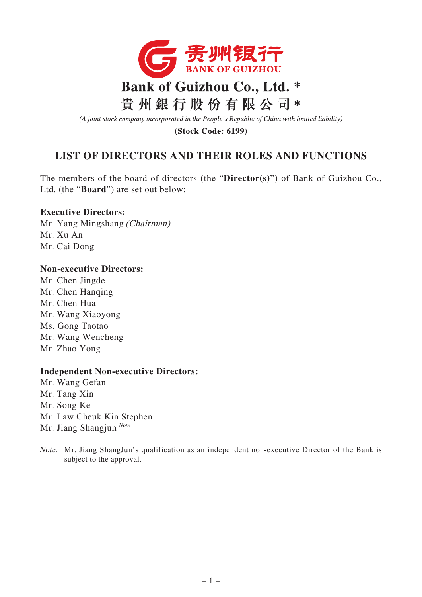

(A joint stock company incorporated in the People's Republic of China with limited liability)

**(Stock Code: 6199)** 

## **LIST OF DIRECTORS AND THEIR ROLES AND FUNCTIONS**

The members of the board of directors (the "**Director(s)**") of Bank of Guizhou Co., Ltd. (the "**Board**") are set out below:

## **Executive Directors:**

Mr. Yang Mingshang (Chairman) Mr. Xu An Mr. Cai Dong

## **Non-executive Directors:**

Mr. Chen Jingde Mr. Chen Hanqing Mr. Chen Hua Mr. Wang Xiaoyong Ms. Gong Taotao Mr. Wang Wencheng Mr. Zhao Yong

## **Independent Non-executive Directors:**

Mr. Wang Gefan Mr. Tang Xin Mr. Song Ke Mr. Law Cheuk Kin Stephen Mr. Jiang Shangjun  $^{Note}$ 

Note: Mr. Jiang ShangJun's qualification as an independent non-executive Director of the Bank is subject to the approval.